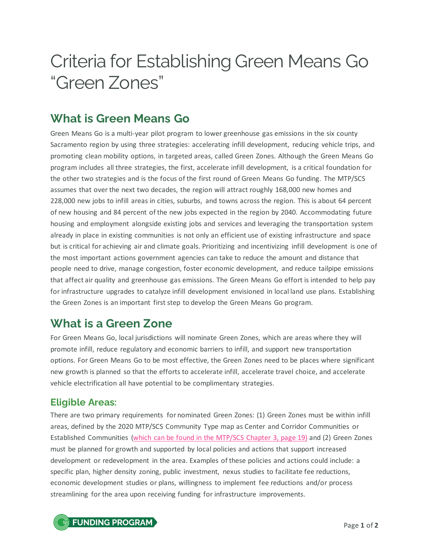# Criteria for Establishing Green Means Go "Green Zones"

## **What is Green Means Go**

Green Means Go is a multi-year pilot program to lower greenhouse gas emissions in the six county Sacramento region by using three strategies: accelerating infill development, reducing vehicle trips, and promoting clean mobility options, in targeted areas, called Green Zones. Although the Green Means Go program includes all three strategies, the first, accelerate infill development, is a critical foundation for the other two strategies and is the focus of the first round of Green Means Go funding. The MTP/SCS assumes that over the next two decades, the region will attract roughly 168,000 new homes and 228,000 new jobs to infill areas in cities, suburbs, and towns across the region. This is about 64 percent of new housing and 84 percent of the new jobs expected in the region by 2040. Accommodating future housing and employment alongside existing jobs and services and leveraging the transportation system already in place in existing communities is not only an efficient use of existing infrastructure and space but is critical for achieving air and climate goals. Prioritizing and incentivizing infill development is one of the most important actions government agencies can take to reduce the amount and distance that people need to drive, manage congestion, foster economic development, and reduce tailpipe emissions that affect air quality and greenhouse gas emissions. The Green Means Go effort is intended to help pay for infrastructure upgrades to catalyze infill development envisioned in local land use plans. Establishing the Green Zones is an important first step to develop the Green Means Go program.

## **What is a Green Zone**

For Green Means Go, local jurisdictions will nominate Green Zones, which are areas where they will promote infill, reduce regulatory and economic barriers to infill, and support new transportation options. For Green Means Go to be most effective, the Green Zones need to be places where significant new growth is planned so that the efforts to accelerate infill, accelerate travel choice, and accelerate vehicle electrification all have potential to be complimentary strategies.

### **Eligible Areas:**

There are two primary requirements for nominated Green Zones: (1) Green Zones must be within infill areas, defined by the 2020 MTP/SCS Community Type map as Center and Corridor Communities or Established Communities [\(which can be found in the MTP/SCS Chapter 3, page 19\)](https://www.sacog.org/sites/main/files/file-attachments/chapter3_mtp-scs_0.pdf?1580327288) and (2) Green Zones must be planned for growth and supported by local policies and actions that support increased development or redevelopment in the area. Examples of these policies and actions could include: a specific plan, higher density zoning, public investment, nexus studies to facilitate fee reductions, economic development studies or plans, willingness to implement fee reductions and/or process streamlining for the area upon receiving funding for infrastructure improvements.